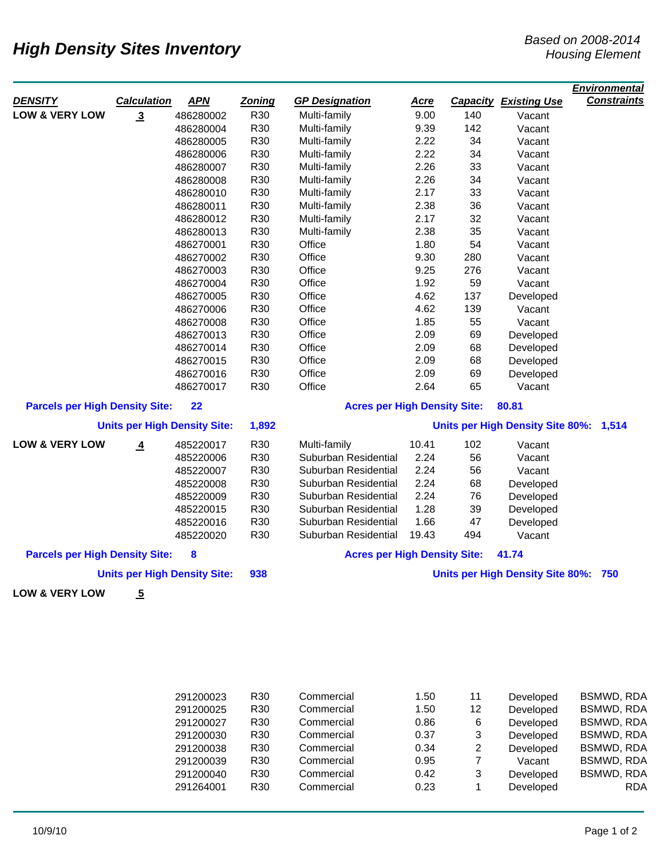## *High Density Sites Inventory*<br>*Housing Element Based on 2008-2014*

|                                              |                    |                                     |                                        |                                     |             |       |                                      | <b>Environmental</b> |
|----------------------------------------------|--------------------|-------------------------------------|----------------------------------------|-------------------------------------|-------------|-------|--------------------------------------|----------------------|
| <b>DENSITY</b>                               | <b>Calculation</b> | <b>APN</b>                          | <b>Zoning</b>                          | <b>GP Designation</b>               | <u>Acre</u> |       | <b>Capacity Existing Use</b>         | <b>Constraints</b>   |
| <b>LOW &amp; VERY LOW</b>                    | $\overline{3}$     | 486280002                           | R30                                    | Multi-family                        | 9.00        | 140   | Vacant                               |                      |
|                                              |                    | 486280004                           | R30                                    | Multi-family                        | 9.39        | 142   | Vacant                               |                      |
|                                              |                    | 486280005                           | R30                                    | Multi-family                        | 2.22        | 34    | Vacant                               |                      |
|                                              |                    | 486280006                           | R30                                    | Multi-family                        | 2.22        | 34    | Vacant                               |                      |
|                                              |                    | 486280007                           | R30                                    | Multi-family                        | 2.26        | 33    | Vacant                               |                      |
|                                              |                    | 486280008                           | R30                                    | Multi-family                        | 2.26        | 34    | Vacant                               |                      |
|                                              |                    | 486280010                           | R30                                    | Multi-family                        | 2.17        | 33    | Vacant                               |                      |
|                                              |                    | 486280011                           | R30                                    | Multi-family                        | 2.38        | 36    | Vacant                               |                      |
|                                              |                    | 486280012                           | R30                                    | Multi-family                        | 2.17        | 32    | Vacant                               |                      |
|                                              |                    | 486280013                           | R30                                    | Multi-family                        | 2.38        | 35    | Vacant                               |                      |
|                                              |                    | 486270001                           | R30                                    | Office                              | 1.80        | 54    | Vacant                               |                      |
|                                              |                    | 486270002                           | R30                                    | Office                              | 9.30        | 280   | Vacant                               |                      |
|                                              |                    | 486270003                           | R30                                    | Office                              | 9.25        | 276   | Vacant                               |                      |
|                                              |                    | 486270004                           | R30                                    | Office                              | 1.92        | 59    | Vacant                               |                      |
|                                              |                    | 486270005                           | R30                                    | Office                              | 4.62        | 137   | Developed                            |                      |
|                                              |                    | 486270006                           | R30                                    | Office                              | 4.62        | 139   | Vacant                               |                      |
|                                              |                    | 486270008                           | R30                                    | Office                              | 1.85        | 55    | Vacant                               |                      |
|                                              |                    | 486270013                           | R30                                    | Office                              | 2.09        | 69    | Developed                            |                      |
|                                              |                    | 486270014                           | R30                                    | Office                              | 2.09        | 68    | Developed                            |                      |
|                                              |                    | 486270015                           | R30                                    | Office                              | 2.09        | 68    | Developed                            |                      |
|                                              |                    | 486270016                           | R30                                    | Office                              | 2.09        | 69    | Developed                            |                      |
|                                              |                    | 486270017                           | R30                                    | Office                              | 2.64        | 65    | Vacant                               |                      |
| <b>Parcels per High Density Site:</b><br>22  |                    |                                     | <b>Acres per High Density Site:</b>    |                                     |             | 80.81 |                                      |                      |
| <b>Units per High Density Site:</b><br>1,892 |                    |                                     | Units per High Density Site 80%: 1,514 |                                     |             |       |                                      |                      |
| <b>LOW &amp; VERY LOW</b>                    | $\overline{4}$     | 485220017                           | R30                                    | Multi-family                        | 10.41       | 102   | Vacant                               |                      |
|                                              |                    | 485220006                           | R30                                    | Suburban Residential                | 2.24        | 56    | Vacant                               |                      |
|                                              |                    | 485220007                           | R30                                    | Suburban Residential                | 2.24        | 56    | Vacant                               |                      |
|                                              |                    | 485220008                           | R30                                    | Suburban Residential                | 2.24        | 68    | Developed                            |                      |
|                                              |                    | 485220009                           | R30                                    | Suburban Residential                | 2.24        | 76    | Developed                            |                      |
|                                              |                    | 485220015                           | R30                                    | Suburban Residential                | 1.28        | 39    | Developed                            |                      |
|                                              |                    | 485220016                           | R30                                    | Suburban Residential                | 1.66        | 47    | Developed                            |                      |
|                                              |                    | 485220020                           | R30                                    | Suburban Residential                | 19.43       | 494   | Vacant                               |                      |
| 8<br><b>Parcels per High Density Site:</b>   |                    |                                     |                                        | <b>Acres per High Density Site:</b> |             |       | 41.74                                |                      |
|                                              |                    | <b>Units per High Density Site:</b> | 938                                    |                                     |             |       | Units per High Density Site 80%: 750 |                      |
| <b>LOW &amp; VERY LOW</b>                    | $\overline{5}$     |                                     |                                        |                                     |             |       |                                      |                      |
|                                              |                    |                                     |                                        |                                     |             |       |                                      |                      |
|                                              |                    | 291200023                           | R <sub>30</sub>                        | Commercial                          | 1.50        | 11    | Developed                            | <b>BSMWD, RDA</b>    |
|                                              |                    | 291200025                           | R30                                    | Commercial                          | 1.50        | 12    | Developed                            | <b>BSMWD, RDA</b>    |
|                                              |                    | 291200027                           | R30                                    | Commercial                          | 0.86        | 6     | Developed                            | <b>BSMWD, RDA</b>    |
|                                              |                    | 291200030                           | R30                                    | Commercial                          | 0.37        | 3     | Developed                            | <b>BSMWD, RDA</b>    |

 R30 Commercial 0.34 2 Developed BSMWD, RDA R30 Commercial 0.95 7 Vacant BSMWD, RDA R30 Commercial 0.42 3 Developed BSMWD, RDA R30 Commercial 0.23 1 Developed RDA